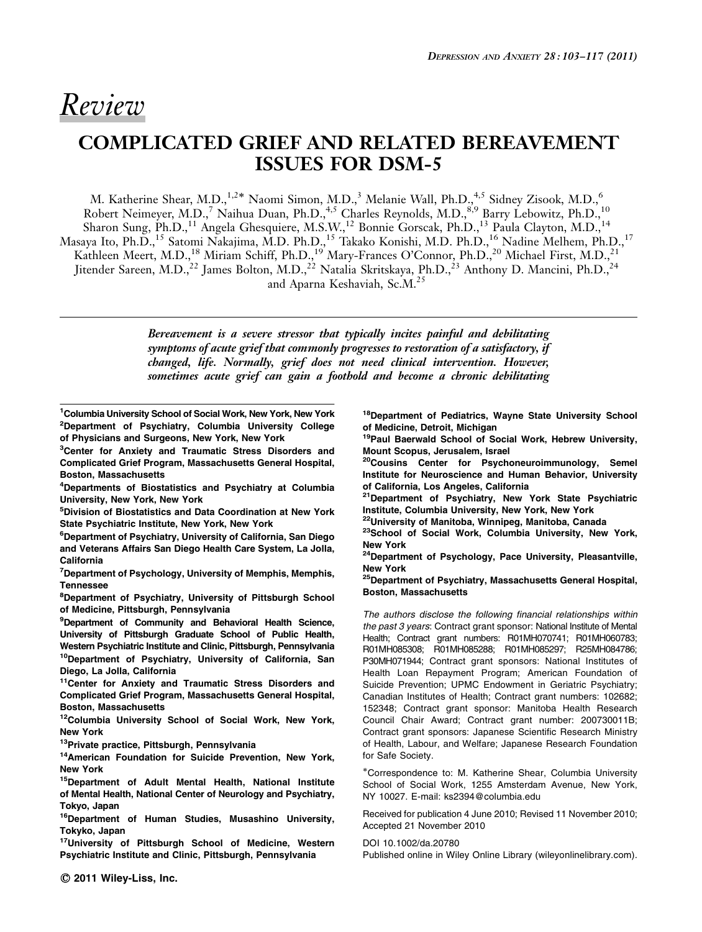# Review

## COMPLICATED GRIEF AND RELATED BEREAVEMENT ISSUES FOR DSM-5

M. Katherine Shear, M.D.,<sup>1,2\*</sup> Naomi Simon, M.D.,<sup>3</sup> Melanie Wall, Ph.D.,<sup>4,5</sup> Sidney Zisook, M.D.,<sup>6</sup> Robert Neimeyer, M.D.,<sup>7</sup> Naihua Duan, Ph.D.,<sup>4,5</sup> Charles Reynolds, M.D.,<sup>8,9</sup> Barry Lebowitz, Ph.D.,<sup>10</sup> Sharon Sung, Ph.D.,<sup>11</sup> Angela Ghesquiere, M.S.W.,<sup>12</sup> Bonnie Gorscak, Ph.D.,<sup>13</sup> Paula Clayton, M.D.,<sup>14</sup> Masaya Ito, Ph.D.,<sup>15</sup> Satomi Nakajima, M.D. Ph.D.,<sup>15</sup> Takako Konishi, M.D. Ph.D.,<sup>16</sup> Nadine Melhem, Ph.D.,<sup>17</sup> Kathleen Meert, M.D.,<sup>18</sup> Miriam Schiff, Ph.D.,<sup>19</sup> Mary-Frances O'Connor, Ph.D.,<sup>20</sup> Michael First, M.D.,<sup>21</sup> Jitender Sareen, M.D.,<sup>22</sup> James Bolton, M.D.,<sup>22</sup> Natalia Skritskaya, Ph.D.,<sup>23</sup> Anthony D. Mancini, Ph.D.,<sup>24</sup>

and Aparna Keshaviah, Sc.M.<sup>25</sup>

Bereavement is a severe stressor that typically incites painful and debilitating symptoms of acute grief that commonly progresses to restoration of a satisfactory, if changed, life. Normally, grief does not need clinical intervention. However, sometimes acute grief can gain a foothold and become a chronic debilitating

<sup>1</sup> Columbia University School of Social Work, New York, New York <sup>2</sup>Department of Psychiatry, Columbia University College of Physicians and Surgeons, New York, New York

<sup>3</sup>Center for Anxiety and Traumatic Stress Disorders and Complicated Grief Program, Massachusetts General Hospital, Boston, Massachusetts

4 Departments of Biostatistics and Psychiatry at Columbia University, New York, New York

5 Division of Biostatistics and Data Coordination at New York State Psychiatric Institute, New York, New York

6 Department of Psychiatry, University of California, San Diego and Veterans Affairs San Diego Health Care System, La Jolla, California

<sup>7</sup>Department of Psychology, University of Memphis, Memphis, **Tennessee** 

<sup>8</sup>Department of Psychiatry, University of Pittsburgh School of Medicine, Pittsburgh, Pennsylvania

<sup>9</sup>Department of Community and Behavioral Health Science, University of Pittsburgh Graduate School of Public Health, Western Psychiatric Institute and Clinic, Pittsburgh, Pennsylvania <sup>10</sup>Department of Psychiatry, University of California, San Diego, La Jolla, California

<sup>11</sup>Center for Anxiety and Traumatic Stress Disorders and Complicated Grief Program, Massachusetts General Hospital, Boston, Massachusetts

<sup>12</sup>Columbia University School of Social Work, New York, New York

<sup>13</sup>Private practice, Pittsburgh, Pennsylvania

14American Foundation for Suicide Prevention, New York, New York

15Department of Adult Mental Health, National Institute of Mental Health, National Center of Neurology and Psychiatry, Tokyo, Japan

<sup>16</sup>Department of Human Studies, Musashino University, Tokyko, Japan

17University of Pittsburgh School of Medicine, Western Psychiatric Institute and Clinic, Pittsburgh, Pennsylvania

<sup>18</sup>Department of Pediatrics, Wayne State University School of Medicine, Detroit, Michigan

<sup>19</sup>Paul Baerwald School of Social Work, Hebrew University, Mount Scopus, Jerusalem, Israel

20Cousins Center for Psychoneuroimmunology, Semel Institute for Neuroscience and Human Behavior, University of California, Los Angeles, California

<sup>21</sup>Department of Psychiatry, New York State Psychiatric Institute, Columbia University, New York, New York

<sup>22</sup>University of Manitoba, Winnipeg, Manitoba, Canada<br><sup>23</sup>School of Social Work, Columbia University, New York, New York

<sup>24</sup>Department of Psychology, Pace University, Pleasantville, New York

25Department of Psychiatry, Massachusetts General Hospital, Boston, Massachusetts

The authors disclose the following financial relationships within the past 3 years: Contract grant sponsor: National Institute of Mental Health; Contract grant numbers: R01MH070741; R01MH060783; R01MH085308; R01MH085288; R01MH085297; R25MH084786; P30MH071944; Contract grant sponsors: National Institutes of Health Loan Repayment Program; American Foundation of Suicide Prevention; UPMC Endowment in Geriatric Psychiatry; Canadian Institutes of Health; Contract grant numbers: 102682; 152348; Contract grant sponsor: Manitoba Health Research Council Chair Award; Contract grant number: 200730011B; Contract grant sponsors: Japanese Scientific Research Ministry of Health, Labour, and Welfare; Japanese Research Foundation for Safe Society.

-Correspondence to: M. Katherine Shear, Columbia University School of Social Work, 1255 Amsterdam Avenue, New York, NY 10027. E-mail: ks2394@columbia.edu

Received for publication 4 June 2010; Revised 11 November 2010; Accepted 21 November 2010

#### DOI 10.1002/da.20780

Published online in Wiley Online Library (wileyonlinelibrary.com).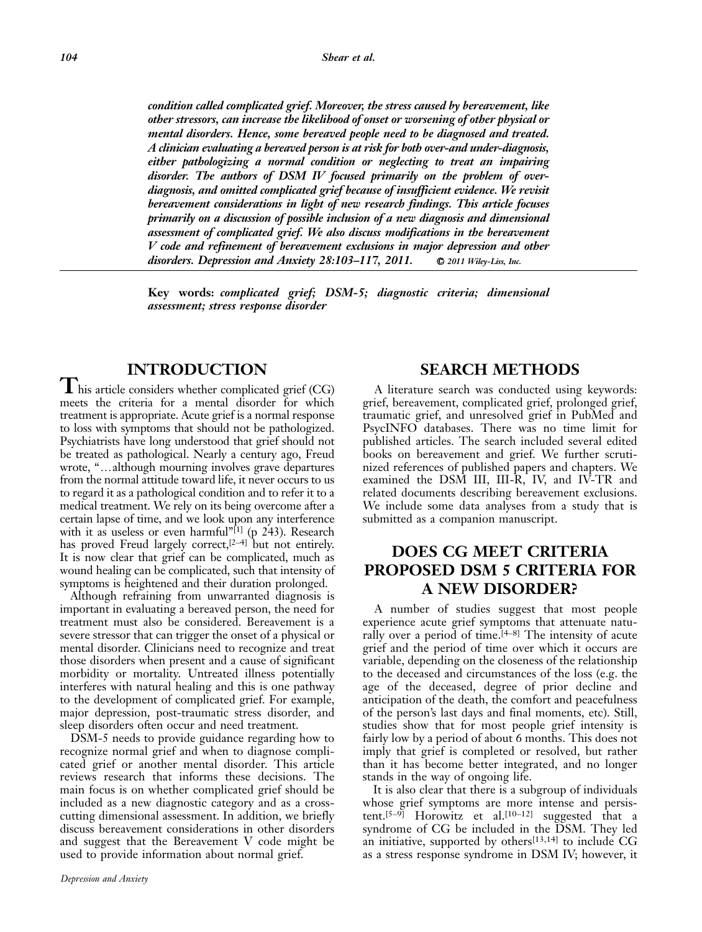condition called complicated grief. Moreover, the stress caused by bereavement, like other stressors, can increase the likelihood of onset or worsening of other physical or mental disorders. Hence, some bereaved people need to be diagnosed and treated. A clinician evaluating a bereaved person is at risk for both over-and under-diagnosis, either pathologizing a normal condition or neglecting to treat an impairing disorder. The authors of DSM IV focused primarily on the problem of overdiagnosis, and omitted complicated grief because of insufficient evidence. We revisit bereavement considerations in light of new research findings. This article focuses primarily on a discussion of possible inclusion of a new diagnosis and dimensional assessment of complicated grief. We also discuss modifications in the bereavement V code and refinement of bereavement exclusions in major depression and other disorders. Depression and Anxiety  $28:103-117$ ,  $2011$ .  $\circ$  2011 Wiley-Liss, Inc.

Key words: complicated grief; DSM-5; diagnostic criteria; dimensional assessment; stress response disorder

## INTRODUCTION

 $\blacksquare$  his article considers whether complicated grief (CG) meets the criteria for a mental disorder for which treatment is appropriate. Acute grief is a normal response to loss with symptoms that should not be pathologized. Psychiatrists have long understood that grief should not be treated as pathological. Nearly a century ago, Freud wrote, "...although mourning involves grave departures from the normal attitude toward life, it never occurs to us to regard it as a pathological condition and to refer it to a medical treatment. We rely on its being overcome after a certain lapse of time, and we look upon any interference with it as useless or even harmful<sup> $n[1]$ </sup> (p 243). Research has proved Freud largely correct,<sup>[2-4]</sup> but not entirely. It is now clear that grief can be complicated, much as wound healing can be complicated, such that intensity of symptoms is heightened and their duration prolonged.

Although refraining from unwarranted diagnosis is important in evaluating a bereaved person, the need for treatment must also be considered. Bereavement is a severe stressor that can trigger the onset of a physical or mental disorder. Clinicians need to recognize and treat those disorders when present and a cause of significant morbidity or mortality. Untreated illness potentially interferes with natural healing and this is one pathway to the development of complicated grief. For example, major depression, post-traumatic stress disorder, and sleep disorders often occur and need treatment.

DSM-5 needs to provide guidance regarding how to recognize normal grief and when to diagnose complicated grief or another mental disorder. This article reviews research that informs these decisions. The main focus is on whether complicated grief should be included as a new diagnostic category and as a crosscutting dimensional assessment. In addition, we briefly discuss bereavement considerations in other disorders and suggest that the Bereavement V code might be used to provide information about normal grief.

## SEARCH METHODS

A literature search was conducted using keywords: grief, bereavement, complicated grief, prolonged grief, traumatic grief, and unresolved grief in PubMed and PsycINFO databases. There was no time limit for published articles. The search included several edited books on bereavement and grief. We further scrutinized references of published papers and chapters. We examined the DSM III, III-R, IV, and IV-TR and related documents describing bereavement exclusions. We include some data analyses from a study that is submitted as a companion manuscript.

## DOES CG MEET CRITERIA PROPOSED DSM 5 CRITERIA FOR A NEW DISORDER?

A number of studies suggest that most people experience acute grief symptoms that attenuate naturally over a period of time.<sup>[4–8]</sup> The intensity of acute grief and the period of time over which it occurs are variable, depending on the closeness of the relationship to the deceased and circumstances of the loss (e.g. the age of the deceased, degree of prior decline and anticipation of the death, the comfort and peacefulness of the person's last days and final moments, etc). Still, studies show that for most people grief intensity is fairly low by a period of about 6 months. This does not imply that grief is completed or resolved, but rather than it has become better integrated, and no longer stands in the way of ongoing life.

It is also clear that there is a subgroup of individuals whose grief symptoms are more intense and persistent.<sup>[5–9]</sup> Horowitz et al.<sup>[10–12]</sup> suggested that a syndrome of CG be included in the DSM. They led an initiative, supported by others $[13,14]$  to include CG as a stress response syndrome in DSM IV; however, it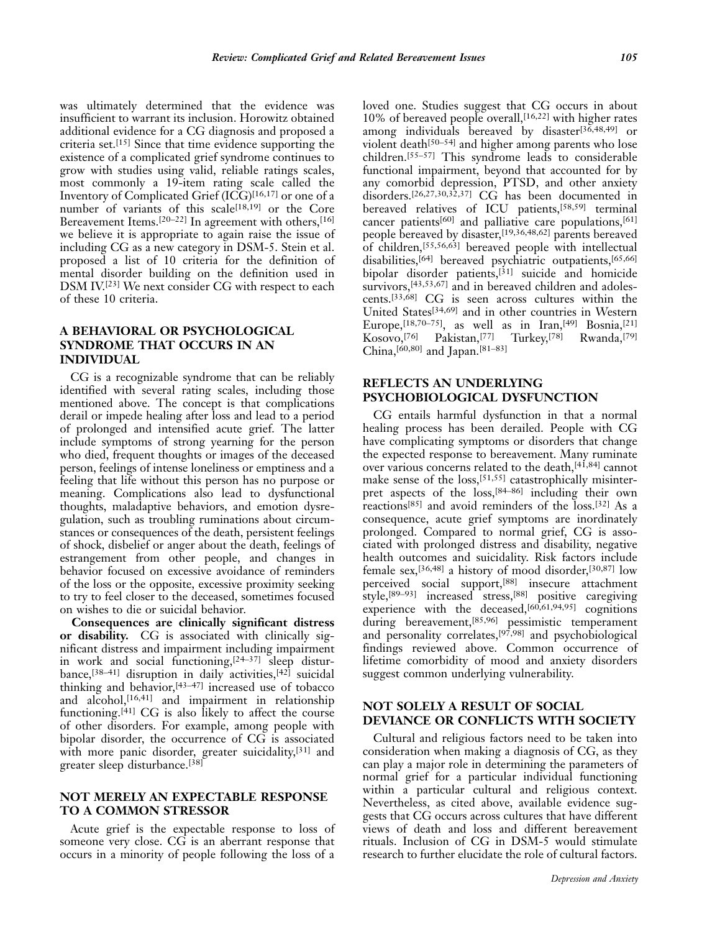was ultimately determined that the evidence was insufficient to warrant its inclusion. Horowitz obtained additional evidence for a CG diagnosis and proposed a criteria set.[15] Since that time evidence supporting the existence of a complicated grief syndrome continues to grow with studies using valid, reliable ratings scales, most commonly a 19-item rating scale called the Inventory of Complicated Grief  $(ICG)^{[16,17]}$  or one of a number of variants of this scale<sup>[18,19]</sup> or the Core Bereavement Items.<sup>[20–22]</sup> In agreement with others,<sup>[16]</sup> we believe it is appropriate to again raise the issue of including CG as a new category in DSM-5. Stein et al. proposed a list of 10 criteria for the definition of mental disorder building on the definition used in DSM IV.[23] We next consider CG with respect to each of these 10 criteria.

## A BEHAVIORAL OR PSYCHOLOGICAL SYNDROME THAT OCCURS IN AN INDIVIDUAL

CG is a recognizable syndrome that can be reliably identified with several rating scales, including those mentioned above. The concept is that complications derail or impede healing after loss and lead to a period of prolonged and intensified acute grief. The latter include symptoms of strong yearning for the person who died, frequent thoughts or images of the deceased person, feelings of intense loneliness or emptiness and a feeling that life without this person has no purpose or meaning. Complications also lead to dysfunctional thoughts, maladaptive behaviors, and emotion dysregulation, such as troubling ruminations about circumstances or consequences of the death, persistent feelings of shock, disbelief or anger about the death, feelings of estrangement from other people, and changes in behavior focused on excessive avoidance of reminders of the loss or the opposite, excessive proximity seeking to try to feel closer to the deceased, sometimes focused on wishes to die or suicidal behavior.

Consequences are clinically significant distress or disability. CG is associated with clinically significant distress and impairment including impairment in work and social functioning, $[24-37]$  sleep disturbance,<sup>[38-41]</sup> disruption in daily activities,<sup>[42]</sup> suicidal thinking and behavior,<sup>[43-47]</sup> increased use of tobacco and alcohol, $[16,41]$  and impairment in relationship functioning.[41] CG is also likely to affect the course of other disorders. For example, among people with bipolar disorder, the occurrence of CG is associated with more panic disorder, greater suicidality,<sup>[31]</sup> and greater sleep disturbance.[38]

#### NOT MERELY AN EXPECTABLE RESPONSE TO A COMMON STRESSOR

Acute grief is the expectable response to loss of someone very close. CG is an aberrant response that occurs in a minority of people following the loss of a

loved one. Studies suggest that CG occurs in about 10% of bereaved people overall,[16,22] with higher rates among individuals bereaved by disaster $[36,48,49]$  or violent death<sup>[50–54]</sup> and higher among parents who lose children.[55–57] This syndrome leads to considerable functional impairment, beyond that accounted for by any comorbid depression, PTSD, and other anxiety disorders.[26,27,30,32,37] CG has been documented in bereaved relatives of ICU patients,[58,59] terminal cancer patients<sup>[60]</sup> and palliative care populations,<sup>[61]</sup> people bereaved by disaster,<sup>[19,36,48,62]</sup> parents bereaved of children,[55,56,63] bereaved people with intellectual disabilities,<sup>[64]</sup> bereaved psychiatric outpatients,<sup>[65,66]</sup> bipolar disorder patients,<sup>[31]</sup> suicide and homicide survivors,<sup>[43,53,67]</sup> and in bereaved children and adolescents.[33,68] CG is seen across cultures within the United States[34,69] and in other countries in Western Europe,<sup>[18,70–75]</sup>, as well as in Iran,<sup>[49]</sup> Bosnia,<sup>[21]</sup> Kosovo,[76] Pakistan,[77] Turkey,[78] Rwanda,[79] China,[60,80] and Japan.[81–83]

## REFLECTS AN UNDERLYING PSYCHOBIOLOGICAL DYSFUNCTION

CG entails harmful dysfunction in that a normal healing process has been derailed. People with CG have complicating symptoms or disorders that change the expected response to bereavement. Many ruminate over various concerns related to the death,[41,84] cannot make sense of the  $loss$ ,  $[51,55]$  catastrophically misinterpret aspects of the loss,<sup>[84–86]</sup> including their own reactions[85] and avoid reminders of the loss.[32] As a consequence, acute grief symptoms are inordinately prolonged. Compared to normal grief, CG is associated with prolonged distress and disability, negative health outcomes and suicidality. Risk factors include female sex,<sup>[36,48]</sup> a history of mood disorder,<sup>[30,87]</sup> low perceived social support,[88] insecure attachment style,[89–93] increased stress,[88] positive caregiving experience with the deceased,<sup>[60,61,94,95]</sup> cognitions during bereavement,<sup>[85,96]</sup> pessimistic temperament and personality correlates,[97,98] and psychobiological findings reviewed above. Common occurrence of lifetime comorbidity of mood and anxiety disorders suggest common underlying vulnerability.

## NOT SOLELY A RESULT OF SOCIAL DEVIANCE OR CONFLICTS WITH SOCIETY

Cultural and religious factors need to be taken into consideration when making a diagnosis of CG, as they can play a major role in determining the parameters of normal grief for a particular individual functioning within a particular cultural and religious context. Nevertheless, as cited above, available evidence suggests that CG occurs across cultures that have different views of death and loss and different bereavement rituals. Inclusion of CG in DSM-5 would stimulate research to further elucidate the role of cultural factors.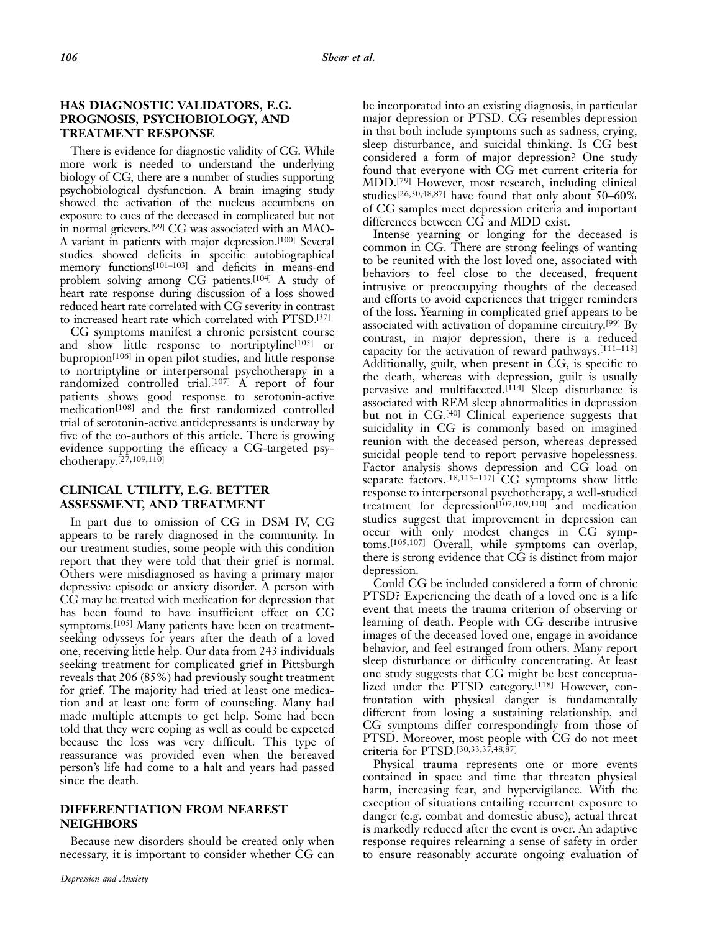## HAS DIAGNOSTIC VALIDATORS, E.G. PROGNOSIS, PSYCHOBIOLOGY, AND TREATMENT RESPONSE

There is evidence for diagnostic validity of CG. While more work is needed to understand the underlying biology of CG, there are a number of studies supporting psychobiological dysfunction. A brain imaging study showed the activation of the nucleus accumbens on exposure to cues of the deceased in complicated but not in normal grievers.[99] CG was associated with an MAO-A variant in patients with major depression.[100] Several studies showed deficits in specific autobiographical memory functions<sup>[101–103]</sup> and deficits in means-end problem solving among CG patients.[104] A study of heart rate response during discussion of a loss showed reduced heart rate correlated with CG severity in contrast to increased heart rate which correlated with PTSD.[37]

CG symptoms manifest a chronic persistent course and show little response to nortriptyline<sup>[105]</sup> or bupropion[106] in open pilot studies, and little response to nortriptyline or interpersonal psychotherapy in a randomized controlled trial.<sup>[107]</sup> A report of four patients shows good response to serotonin-active medication<sup>[108]</sup> and the first randomized controlled trial of serotonin-active antidepressants is underway by five of the co-authors of this article. There is growing evidence supporting the efficacy a CG-targeted psychotherapy.<sup>[27,109,110]</sup>

#### CLINICAL UTILITY, E.G. BETTER ASSESSMENT, AND TREATMENT

In part due to omission of CG in DSM IV, CG appears to be rarely diagnosed in the community. In our treatment studies, some people with this condition report that they were told that their grief is normal. Others were misdiagnosed as having a primary major depressive episode or anxiety disorder. A person with CG may be treated with medication for depression that has been found to have insufficient effect on CG symptoms.[105] Many patients have been on treatmentseeking odysseys for years after the death of a loved one, receiving little help. Our data from 243 individuals seeking treatment for complicated grief in Pittsburgh reveals that 206 (85%) had previously sought treatment for grief. The majority had tried at least one medication and at least one form of counseling. Many had made multiple attempts to get help. Some had been told that they were coping as well as could be expected because the loss was very difficult. This type of reassurance was provided even when the bereaved person's life had come to a halt and years had passed since the death.

#### DIFFERENTIATION FROM NEAREST **NEIGHBORS**

Because new disorders should be created only when necessary, it is important to consider whether CG can be incorporated into an existing diagnosis, in particular major depression or PTSD. CG resembles depression in that both include symptoms such as sadness, crying, sleep disturbance, and suicidal thinking. Is CG best considered a form of major depression? One study found that everyone with CG met current criteria for MDD.[79] However, most research, including clinical studies[26,30,48,87] have found that only about 50–60% of CG samples meet depression criteria and important differences between CG and MDD exist.

Intense yearning or longing for the deceased is common in CG. There are strong feelings of wanting to be reunited with the lost loved one, associated with behaviors to feel close to the deceased, frequent intrusive or preoccupying thoughts of the deceased and efforts to avoid experiences that trigger reminders of the loss. Yearning in complicated grief appears to be associated with activation of dopamine circuitry.[99] By contrast, in major depression, there is a reduced capacity for the activation of reward pathways.[111–113] Additionally, guilt, when present in CG, is specific to the death, whereas with depression, guilt is usually pervasive and multifaceted.<sup>[114]</sup> Sleep disturbance is associated with REM sleep abnormalities in depression but not in CG.[40] Clinical experience suggests that suicidality in CG is commonly based on imagined reunion with the deceased person, whereas depressed suicidal people tend to report pervasive hopelessness. Factor analysis shows depression and CG load on separate factors.<sup>[18,115-117]</sup> CG symptoms show little response to interpersonal psychotherapy, a well-studied treatment for depression<sup>[107,109,110]</sup> and medication studies suggest that improvement in depression can occur with only modest changes in CG symptoms.[105,107] Overall, while symptoms can overlap, there is strong evidence that CG is distinct from major depression.

Could CG be included considered a form of chronic PTSD? Experiencing the death of a loved one is a life event that meets the trauma criterion of observing or learning of death. People with CG describe intrusive images of the deceased loved one, engage in avoidance behavior, and feel estranged from others. Many report sleep disturbance or difficulty concentrating. At least one study suggests that CG might be best conceptualized under the PTSD category.[118] However, confrontation with physical danger is fundamentally different from losing a sustaining relationship, and CG symptoms differ correspondingly from those of PTSD. Moreover, most people with CG do not meet criteria for PTSD.[30,33,37,48,87]

Physical trauma represents one or more events contained in space and time that threaten physical harm, increasing fear, and hypervigilance. With the exception of situations entailing recurrent exposure to danger (e.g. combat and domestic abuse), actual threat is markedly reduced after the event is over. An adaptive response requires relearning a sense of safety in order to ensure reasonably accurate ongoing evaluation of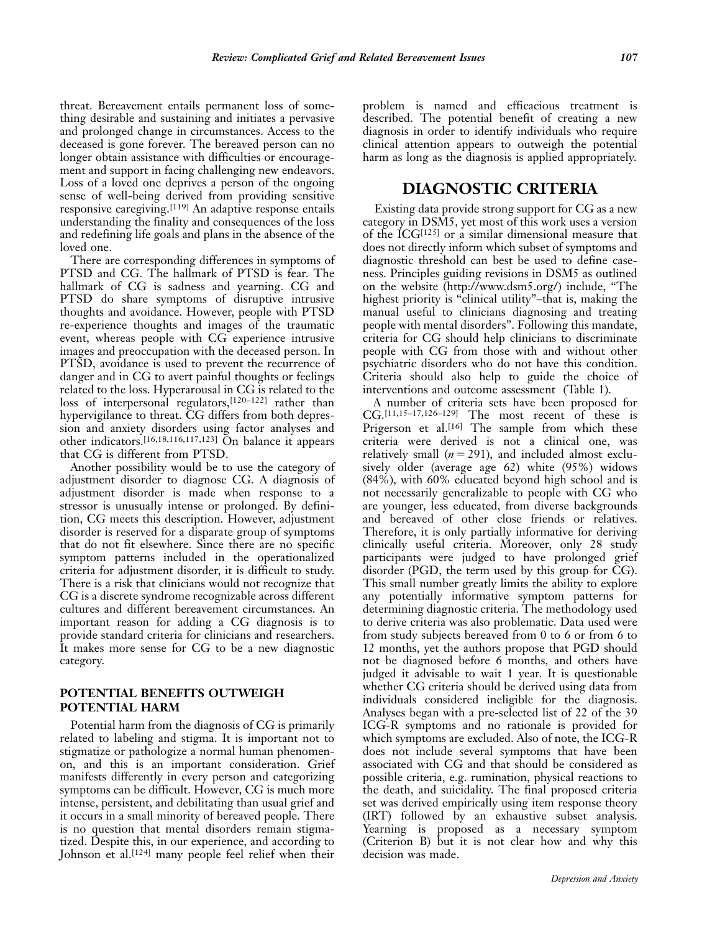threat. Bereavement entails permanent loss of something desirable and sustaining and initiates a pervasive and prolonged change in circumstances. Access to the deceased is gone forever. The bereaved person can no longer obtain assistance with difficulties or encouragement and support in facing challenging new endeavors. Loss of a loved one deprives a person of the ongoing sense of well-being derived from providing sensitive responsive caregiving.[119] An adaptive response entails understanding the finality and consequences of the loss and redefining life goals and plans in the absence of the loved one.

There are corresponding differences in symptoms of PTSD and CG. The hallmark of PTSD is fear. The hallmark of CG is sadness and yearning. CG and PTSD do share symptoms of disruptive intrusive thoughts and avoidance. However, people with PTSD re-experience thoughts and images of the traumatic event, whereas people with CG experience intrusive images and preoccupation with the deceased person. In PTSD, avoidance is used to prevent the recurrence of danger and in CG to avert painful thoughts or feelings related to the loss. Hyperarousal in CG is related to the loss of interpersonal regulators,<sup>[120–122]</sup> rather than hypervigilance to threat. CG differs from both depression and anxiety disorders using factor analyses and other indicators.[16,18,116,117,123] On balance it appears that CG is different from PTSD.

Another possibility would be to use the category of adjustment disorder to diagnose CG. A diagnosis of adjustment disorder is made when response to a stressor is unusually intense or prolonged. By definition, CG meets this description. However, adjustment disorder is reserved for a disparate group of symptoms that do not fit elsewhere. Since there are no specific symptom patterns included in the operationalized criteria for adjustment disorder, it is difficult to study. There is a risk that clinicians would not recognize that CG is a discrete syndrome recognizable across different cultures and different bereavement circumstances. An important reason for adding a CG diagnosis is to provide standard criteria for clinicians and researchers. It makes more sense for CG to be a new diagnostic category.

## POTENTIAL BENEFITS OUTWEIGH POTENTIAL HARM

Potential harm from the diagnosis of CG is primarily related to labeling and stigma. It is important not to stigmatize or pathologize a normal human phenomenon, and this is an important consideration. Grief manifests differently in every person and categorizing symptoms can be difficult. However, CG is much more intense, persistent, and debilitating than usual grief and it occurs in a small minority of bereaved people. There is no question that mental disorders remain stigmatized. Despite this, in our experience, and according to Johnson et al.<sup>[124]</sup> many people feel relief when their

problem is named and efficacious treatment is described. The potential benefit of creating a new diagnosis in order to identify individuals who require clinical attention appears to outweigh the potential harm as long as the diagnosis is applied appropriately.

## DIAGNOSTIC CRITERIA

Existing data provide strong support for CG as a new category in DSM5, yet most of this work uses a version of the ICG[125] or a similar dimensional measure that does not directly inform which subset of symptoms and diagnostic threshold can best be used to define caseness. Principles guiding revisions in DSM5 as outlined on the website (http://www.dsm5.org/) include, ''The highest priority is "clinical utility"–that is, making the manual useful to clinicians diagnosing and treating people with mental disorders''. Following this mandate, criteria for CG should help clinicians to discriminate people with CG from those with and without other psychiatric disorders who do not have this condition. Criteria should also help to guide the choice of interventions and outcome assessment (Table 1).

A number of criteria sets have been proposed for CG.[11,15–17,126–129] The most recent of these is Prigerson et al.<sup>[16]</sup> The sample from which these criteria were derived is not a clinical one, was relatively small  $(n = 291)$ , and included almost exclusively older (average age 62) white (95%) widows (84%), with 60% educated beyond high school and is not necessarily generalizable to people with CG who are younger, less educated, from diverse backgrounds and bereaved of other close friends or relatives. Therefore, it is only partially informative for deriving clinically useful criteria. Moreover, only 28 study participants were judged to have prolonged grief disorder (PGD, the term used by this group for CG). This small number greatly limits the ability to explore any potentially informative symptom patterns for determining diagnostic criteria. The methodology used to derive criteria was also problematic. Data used were from study subjects bereaved from 0 to 6 or from 6 to 12 months, yet the authors propose that PGD should not be diagnosed before 6 months, and others have judged it advisable to wait 1 year. It is questionable whether CG criteria should be derived using data from individuals considered ineligible for the diagnosis. Analyses began with a pre-selected list of 22 of the 39 ICG-R symptoms and no rationale is provided for which symptoms are excluded. Also of note, the ICG-R does not include several symptoms that have been associated with CG and that should be considered as possible criteria, e.g. rumination, physical reactions to the death, and suicidality. The final proposed criteria set was derived empirically using item response theory (IRT) followed by an exhaustive subset analysis. Yearning is proposed as a necessary symptom (Criterion B) but it is not clear how and why this decision was made.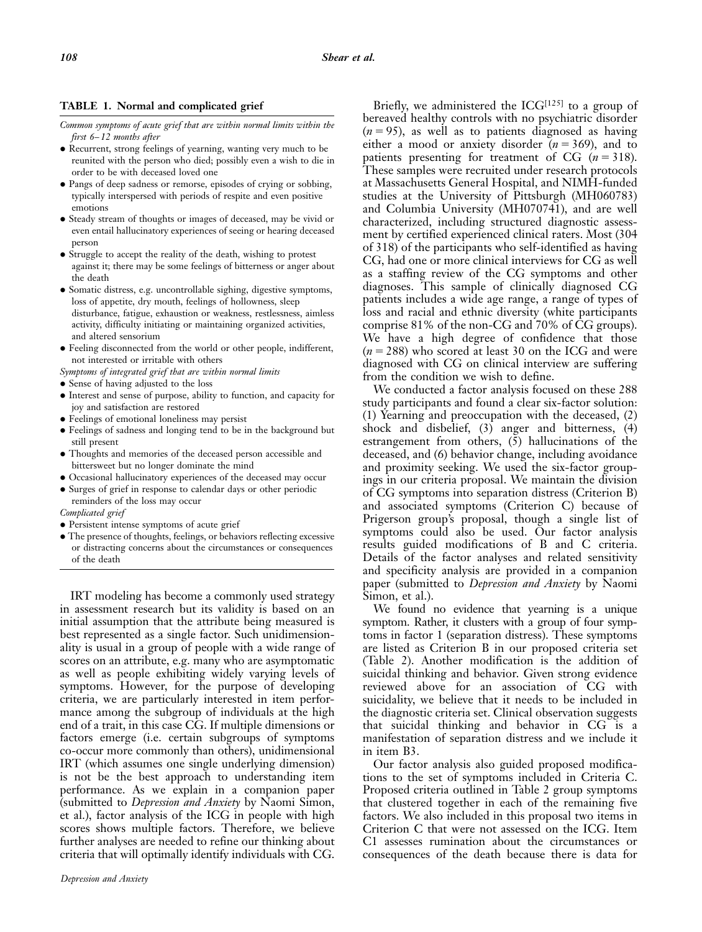## TABLE 1. Normal and complicated grief

- Common symptoms of acute grief that are within normal limits within the first 6– 12 months after
- Recurrent, strong feelings of yearning, wanting very much to be reunited with the person who died; possibly even a wish to die in order to be with deceased loved one
- Pangs of deep sadness or remorse, episodes of crying or sobbing, typically interspersed with periods of respite and even positive emotions
- Steady stream of thoughts or images of deceased, may be vivid or even entail hallucinatory experiences of seeing or hearing deceased person
- Struggle to accept the reality of the death, wishing to protest against it; there may be some feelings of bitterness or anger about the death
- Somatic distress, e.g. uncontrollable sighing, digestive symptoms, loss of appetite, dry mouth, feelings of hollowness, sleep disturbance, fatigue, exhaustion or weakness, restlessness, aimless activity, difficulty initiating or maintaining organized activities, and altered sensorium
- Feeling disconnected from the world or other people, indifferent, not interested or irritable with others
- Symptoms of integrated grief that are within normal limits
- Sense of having adjusted to the loss
- Interest and sense of purpose, ability to function, and capacity for joy and satisfaction are restored
- Feelings of emotional loneliness may persist
- Feelings of sadness and longing tend to be in the background but still present
- Thoughts and memories of the deceased person accessible and bittersweet but no longer dominate the mind
- Occasional hallucinatory experiences of the deceased may occur
- Surges of grief in response to calendar days or other periodic reminders of the loss may occur

Complicated grief

- Persistent intense symptoms of acute grief
- The presence of thoughts, feelings, or behaviors reflecting excessive or distracting concerns about the circumstances or consequences of the death

IRT modeling has become a commonly used strategy in assessment research but its validity is based on an initial assumption that the attribute being measured is best represented as a single factor. Such unidimensionality is usual in a group of people with a wide range of scores on an attribute, e.g. many who are asymptomatic as well as people exhibiting widely varying levels of symptoms. However, for the purpose of developing criteria, we are particularly interested in item performance among the subgroup of individuals at the high end of a trait, in this case CG. If multiple dimensions or factors emerge (i.e. certain subgroups of symptoms co-occur more commonly than others), unidimensional IRT (which assumes one single underlying dimension) is not be the best approach to understanding item performance. As we explain in a companion paper (submitted to Depression and Anxiety by Naomi Simon, et al.), factor analysis of the ICG in people with high scores shows multiple factors. Therefore, we believe further analyses are needed to refine our thinking about criteria that will optimally identify individuals with CG.

Briefly, we administered the  $ICG^{[125]}$  to a group of bereaved healthy controls with no psychiatric disorder  $(n = 95)$ , as well as to patients diagnosed as having either a mood or anxiety disorder  $(n = 369)$ , and to patients presenting for treatment of CG  $(n = 318)$ . These samples were recruited under research protocols at Massachusetts General Hospital, and NIMH-funded studies at the University of Pittsburgh (MH060783) and Columbia University (MH070741), and are well characterized, including structured diagnostic assessment by certified experienced clinical raters. Most (304 of 318) of the participants who self-identified as having CG, had one or more clinical interviews for CG as well as a staffing review of the CG symptoms and other diagnoses. This sample of clinically diagnosed CG patients includes a wide age range, a range of types of loss and racial and ethnic diversity (white participants comprise 81% of the non-CG and 70% of CG groups). We have a high degree of confidence that those  $(n = 288)$  who scored at least 30 on the ICG and were diagnosed with CG on clinical interview are suffering from the condition we wish to define.

We conducted a factor analysis focused on these 288 study participants and found a clear six-factor solution: (1) Yearning and preoccupation with the deceased, (2) shock and disbelief, (3) anger and bitterness, (4) estrangement from others,  $(5)$  hallucinations of the deceased, and (6) behavior change, including avoidance and proximity seeking. We used the six-factor groupings in our criteria proposal. We maintain the division of CG symptoms into separation distress (Criterion B) and associated symptoms (Criterion C) because of Prigerson group's proposal, though a single list of symptoms could also be used. Our factor analysis results guided modifications of B and C criteria. Details of the factor analyses and related sensitivity and specificity analysis are provided in a companion paper (submitted to Depression and Anxiety by Naomi Simon, et al.).

We found no evidence that yearning is a unique symptom. Rather, it clusters with a group of four symptoms in factor 1 (separation distress). These symptoms are listed as Criterion B in our proposed criteria set (Table 2). Another modification is the addition of suicidal thinking and behavior. Given strong evidence reviewed above for an association of CG with suicidality, we believe that it needs to be included in the diagnostic criteria set. Clinical observation suggests that suicidal thinking and behavior in CG is a manifestation of separation distress and we include it in item B3.

Our factor analysis also guided proposed modifications to the set of symptoms included in Criteria C. Proposed criteria outlined in Table 2 group symptoms that clustered together in each of the remaining five factors. We also included in this proposal two items in Criterion C that were not assessed on the ICG. Item C1 assesses rumination about the circumstances or consequences of the death because there is data for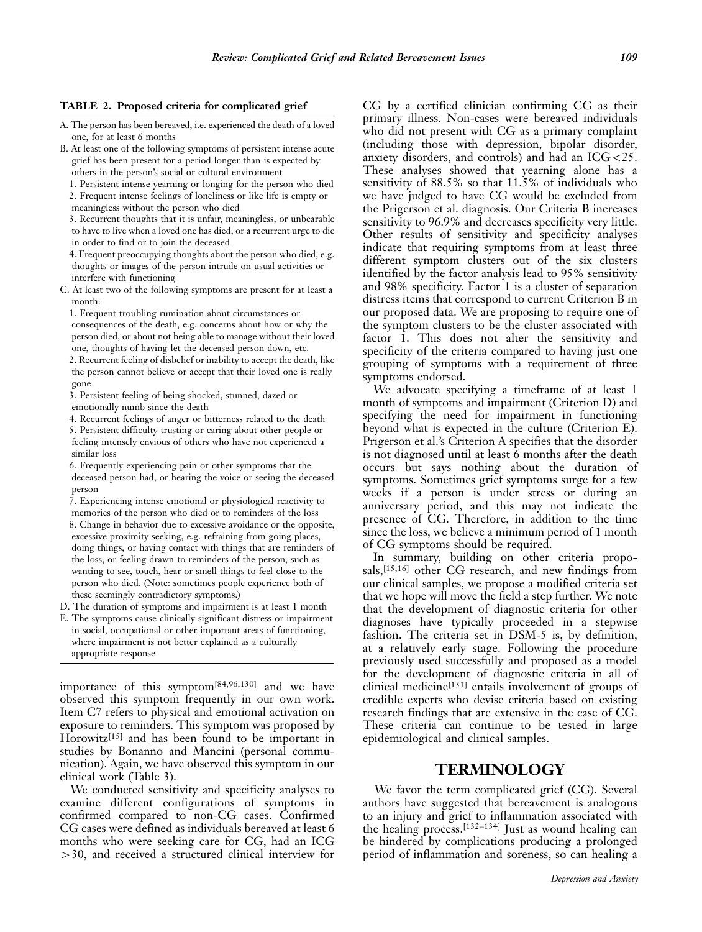#### TABLE 2. Proposed criteria for complicated grief

- A. The person has been bereaved, i.e. experienced the death of a loved one, for at least 6 months
- B. At least one of the following symptoms of persistent intense acute grief has been present for a period longer than is expected by others in the person's social or cultural environment
	- 1. Persistent intense yearning or longing for the person who died

2. Frequent intense feelings of loneliness or like life is empty or meaningless without the person who died

3. Recurrent thoughts that it is unfair, meaningless, or unbearable to have to live when a loved one has died, or a recurrent urge to die in order to find or to join the deceased

4. Frequent preoccupying thoughts about the person who died, e.g. thoughts or images of the person intrude on usual activities or interfere with functioning

C. At least two of the following symptoms are present for at least a month:

1. Frequent troubling rumination about circumstances or consequences of the death, e.g. concerns about how or why the person died, or about not being able to manage without their loved one, thoughts of having let the deceased person down, etc.

2. Recurrent feeling of disbelief or inability to accept the death, like the person cannot believe or accept that their loved one is really gone

3. Persistent feeling of being shocked, stunned, dazed or emotionally numb since the death

4. Recurrent feelings of anger or bitterness related to the death 5. Persistent difficulty trusting or caring about other people or feeling intensely envious of others who have not experienced a similar loss

6. Frequently experiencing pain or other symptoms that the deceased person had, or hearing the voice or seeing the deceased person

7. Experiencing intense emotional or physiological reactivity to memories of the person who died or to reminders of the loss 8. Change in behavior due to excessive avoidance or the opposite, excessive proximity seeking, e.g. refraining from going places, doing things, or having contact with things that are reminders of the loss, or feeling drawn to reminders of the person, such as wanting to see, touch, hear or smell things to feel close to the person who died. (Note: sometimes people experience both of these seemingly contradictory symptoms.)

D. The duration of symptoms and impairment is at least 1 month

E. The symptoms cause clinically significant distress or impairment in social, occupational or other important areas of functioning, where impairment is not better explained as a culturally appropriate response

importance of this symptom[84,96,130] and we have observed this symptom frequently in our own work. Item C7 refers to physical and emotional activation on exposure to reminders. This symptom was proposed by Horowitz[15] and has been found to be important in studies by Bonanno and Mancini (personal communication). Again, we have observed this symptom in our clinical work (Table 3).

We conducted sensitivity and specificity analyses to examine different configurations of symptoms in confirmed compared to non-CG cases. Confirmed CG cases were defined as individuals bereaved at least 6 months who were seeking care for CG, had an ICG  $>$  30, and received a structured clinical interview for

CG by a certified clinician confirming CG as their primary illness. Non-cases were bereaved individuals who did not present with CG as a primary complaint (including those with depression, bipolar disorder, anxiety disorders, and controls) and had an  $ICG < 25$ . These analyses showed that yearning alone has a sensitivity of 88.5% so that 11.5% of individuals who we have judged to have CG would be excluded from the Prigerson et al. diagnosis. Our Criteria B increases sensitivity to 96.9% and decreases specificity very little. Other results of sensitivity and specificity analyses indicate that requiring symptoms from at least three different symptom clusters out of the six clusters identified by the factor analysis lead to 95% sensitivity and 98% specificity. Factor 1 is a cluster of separation distress items that correspond to current Criterion B in our proposed data. We are proposing to require one of the symptom clusters to be the cluster associated with factor 1. This does not alter the sensitivity and specificity of the criteria compared to having just one grouping of symptoms with a requirement of three symptoms endorsed.

We advocate specifying a timeframe of at least 1 month of symptoms and impairment (Criterion D) and specifying the need for impairment in functioning beyond what is expected in the culture (Criterion E). Prigerson et al.'s Criterion A specifies that the disorder is not diagnosed until at least 6 months after the death occurs but says nothing about the duration of symptoms. Sometimes grief symptoms surge for a few weeks if a person is under stress or during an anniversary period, and this may not indicate the presence of CG. Therefore, in addition to the time since the loss, we believe a minimum period of 1 month of CG symptoms should be required.

In summary, building on other criteria proposals,[15,16] other CG research, and new findings from our clinical samples, we propose a modified criteria set that we hope will move the field a step further. We note that the development of diagnostic criteria for other diagnoses have typically proceeded in a stepwise fashion. The criteria set in DSM-5 is, by definition, at a relatively early stage. Following the procedure previously used successfully and proposed as a model for the development of diagnostic criteria in all of clinical medicine<sup>[131]</sup> entails involvement of groups of credible experts who devise criteria based on existing research findings that are extensive in the case of CG. These criteria can continue to be tested in large epidemiological and clinical samples.

## TERMINOLOGY

We favor the term complicated grief (CG). Several authors have suggested that bereavement is analogous to an injury and grief to inflammation associated with the healing process.<sup>[132–134]</sup> Just as wound healing can be hindered by complications producing a prolonged period of inflammation and soreness, so can healing a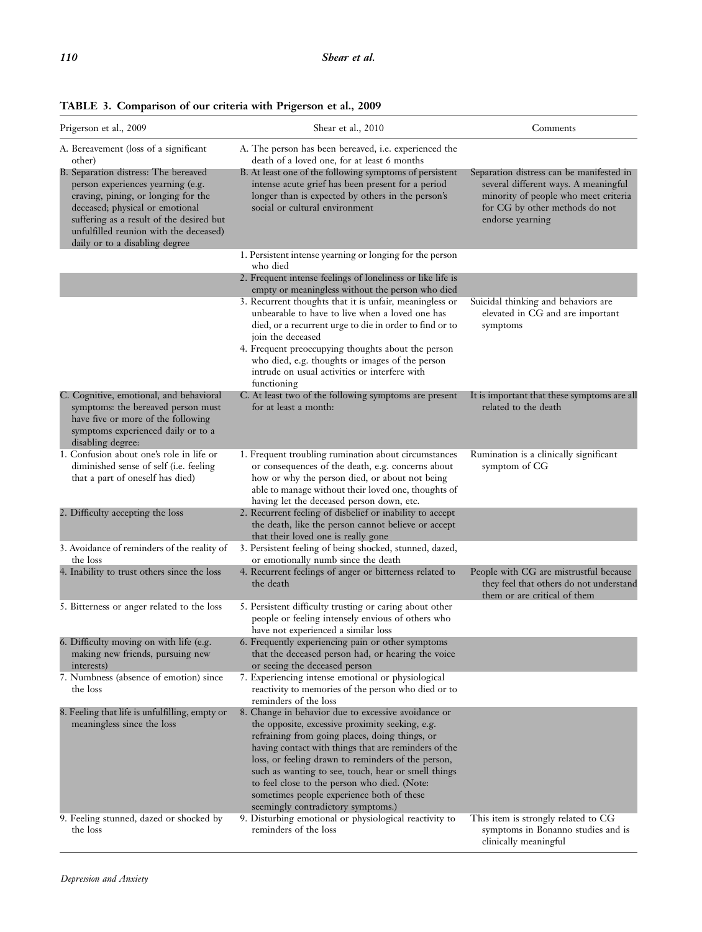|  | TABLE 3. Comparison of our criteria with Prigerson et al., 2009 |  |  |  |
|--|-----------------------------------------------------------------|--|--|--|
|  |                                                                 |  |  |  |

| Prigerson et al., 2009                                                                                                                                                                                                                                                                                                         | Shear et al., 2010                                                                                                                                                                                                                                                                                                                                                                                                                                                                    | Comments                                                                                                                                                                       |
|--------------------------------------------------------------------------------------------------------------------------------------------------------------------------------------------------------------------------------------------------------------------------------------------------------------------------------|---------------------------------------------------------------------------------------------------------------------------------------------------------------------------------------------------------------------------------------------------------------------------------------------------------------------------------------------------------------------------------------------------------------------------------------------------------------------------------------|--------------------------------------------------------------------------------------------------------------------------------------------------------------------------------|
| A. Bereavement (loss of a significant<br>other)<br>B. Separation distress: The bereaved<br>person experiences yearning (e.g.<br>craving, pining, or longing for the<br>deceased; physical or emotional<br>suffering as a result of the desired but<br>unfulfilled reunion with the deceased)<br>daily or to a disabling degree | A. The person has been bereaved, i.e. experienced the<br>death of a loved one, for at least 6 months<br>B. At least one of the following symptoms of persistent<br>intense acute grief has been present for a period<br>longer than is expected by others in the person's<br>social or cultural environment                                                                                                                                                                           | Separation distress can be manifested in<br>several different ways. A meaningful<br>minority of people who meet criteria<br>for CG by other methods do not<br>endorse yearning |
|                                                                                                                                                                                                                                                                                                                                | 1. Persistent intense yearning or longing for the person<br>who died                                                                                                                                                                                                                                                                                                                                                                                                                  |                                                                                                                                                                                |
|                                                                                                                                                                                                                                                                                                                                | 2. Frequent intense feelings of loneliness or like life is<br>empty or meaningless without the person who died<br>3. Recurrent thoughts that it is unfair, meaningless or<br>unbearable to have to live when a loved one has<br>died, or a recurrent urge to die in order to find or to<br>join the deceased<br>4. Frequent preoccupying thoughts about the person<br>who died, e.g. thoughts or images of the person<br>intrude on usual activities or interfere with<br>functioning | Suicidal thinking and behaviors are<br>elevated in CG and are important<br>symptoms                                                                                            |
| C. Cognitive, emotional, and behavioral<br>symptoms: the bereaved person must<br>have five or more of the following<br>symptoms experienced daily or to a<br>disabling degree:                                                                                                                                                 | C. At least two of the following symptoms are present<br>for at least a month:                                                                                                                                                                                                                                                                                                                                                                                                        | It is important that these symptoms are all<br>related to the death                                                                                                            |
| 1. Confusion about one's role in life or<br>diminished sense of self (i.e. feeling<br>that a part of oneself has died)                                                                                                                                                                                                         | 1. Frequent troubling rumination about circumstances<br>or consequences of the death, e.g. concerns about<br>how or why the person died, or about not being<br>able to manage without their loved one, thoughts of<br>having let the deceased person down, etc.                                                                                                                                                                                                                       | Rumination is a clinically significant<br>symptom of CG                                                                                                                        |
| 2. Difficulty accepting the loss                                                                                                                                                                                                                                                                                               | 2. Recurrent feeling of disbelief or inability to accept<br>the death, like the person cannot believe or accept<br>that their loved one is really gone                                                                                                                                                                                                                                                                                                                                |                                                                                                                                                                                |
| 3. Avoidance of reminders of the reality of<br>the loss                                                                                                                                                                                                                                                                        | 3. Persistent feeling of being shocked, stunned, dazed,<br>or emotionally numb since the death                                                                                                                                                                                                                                                                                                                                                                                        |                                                                                                                                                                                |
| 4. Inability to trust others since the loss                                                                                                                                                                                                                                                                                    | 4. Recurrent feelings of anger or bitterness related to<br>the death                                                                                                                                                                                                                                                                                                                                                                                                                  | People with CG are mistrustful because<br>they feel that others do not understand<br>them or are critical of them                                                              |
| 5. Bitterness or anger related to the loss                                                                                                                                                                                                                                                                                     | 5. Persistent difficulty trusting or caring about other<br>people or feeling intensely envious of others who<br>have not experienced a similar loss                                                                                                                                                                                                                                                                                                                                   |                                                                                                                                                                                |
| 6. Difficulty moving on with life (e.g.<br>making new friends, pursuing new<br>interests)                                                                                                                                                                                                                                      | 6. Frequently experiencing pain or other symptoms<br>that the deceased person had, or hearing the voice<br>or seeing the deceased person                                                                                                                                                                                                                                                                                                                                              |                                                                                                                                                                                |
| 7. Numbness (absence of emotion) since<br>the loss                                                                                                                                                                                                                                                                             | 7. Experiencing intense emotional or physiological<br>reactivity to memories of the person who died or to<br>reminders of the loss                                                                                                                                                                                                                                                                                                                                                    |                                                                                                                                                                                |
| 8. Feeling that life is unfulfilling, empty or<br>meaningless since the loss                                                                                                                                                                                                                                                   | 8. Change in behavior due to excessive avoidance or<br>the opposite, excessive proximity seeking, e.g.<br>refraining from going places, doing things, or<br>having contact with things that are reminders of the<br>loss, or feeling drawn to reminders of the person,<br>such as wanting to see, touch, hear or smell things<br>to feel close to the person who died. (Note:<br>sometimes people experience both of these<br>seemingly contradictory symptoms.)                      |                                                                                                                                                                                |
| 9. Feeling stunned, dazed or shocked by<br>the loss                                                                                                                                                                                                                                                                            | 9. Disturbing emotional or physiological reactivity to<br>reminders of the loss                                                                                                                                                                                                                                                                                                                                                                                                       | This item is strongly related to CG<br>symptoms in Bonanno studies and is<br>clinically meaningful                                                                             |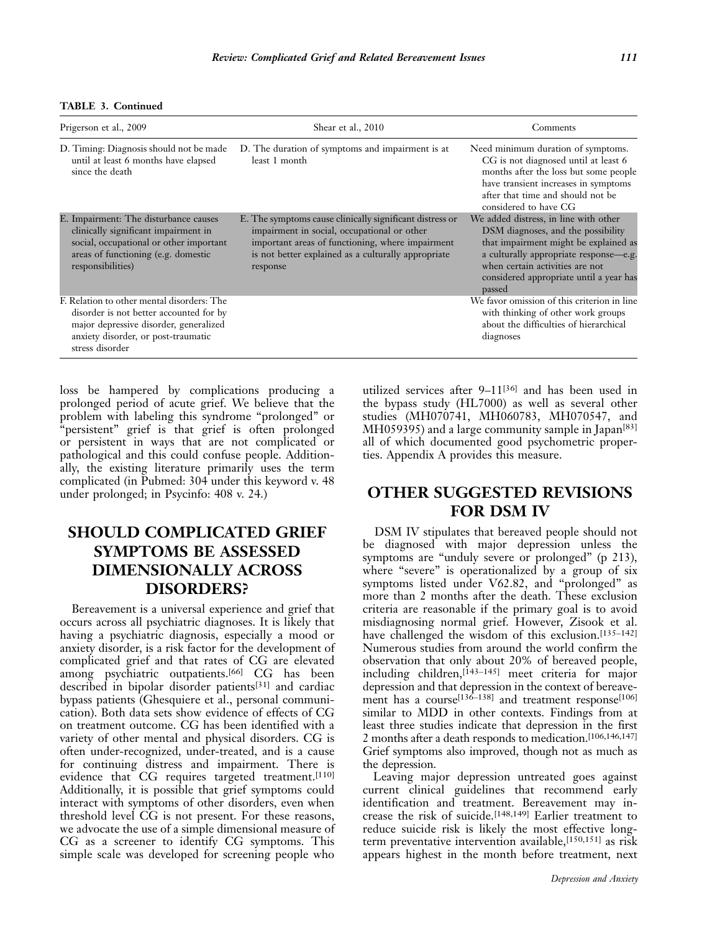TABLE 3. Continued

| Prigerson et al., 2009                                                                                                                                                                    | Shear et al., 2010                                                                                                                                                                                                             | Comments                                                                                                                                                                                                                                               |
|-------------------------------------------------------------------------------------------------------------------------------------------------------------------------------------------|--------------------------------------------------------------------------------------------------------------------------------------------------------------------------------------------------------------------------------|--------------------------------------------------------------------------------------------------------------------------------------------------------------------------------------------------------------------------------------------------------|
| D. Timing: Diagnosis should not be made<br>until at least 6 months have elapsed<br>since the death                                                                                        | D. The duration of symptoms and impairment is at<br>least 1 month                                                                                                                                                              | Need minimum duration of symptoms.<br>CG is not diagnosed until at least 6<br>months after the loss but some people<br>have transient increases in symptoms<br>after that time and should not be<br>considered to have CG                              |
| E. Impairment: The disturbance causes<br>clinically significant impairment in<br>social, occupational or other important<br>areas of functioning (e.g. domestic<br>responsibilities)      | E. The symptoms cause clinically significant distress or<br>impairment in social, occupational or other<br>important areas of functioning, where impairment<br>is not better explained as a culturally appropriate<br>response | We added distress, in line with other<br>DSM diagnoses, and the possibility<br>that impairment might be explained as<br>a culturally appropriate response—e.g.<br>when certain activities are not<br>considered appropriate until a year has<br>passed |
| F. Relation to other mental disorders: The<br>disorder is not better accounted for by<br>major depressive disorder, generalized<br>anxiety disorder, or post-traumatic<br>stress disorder |                                                                                                                                                                                                                                | We favor omission of this criterion in line<br>with thinking of other work groups<br>about the difficulties of hierarchical<br>diagnoses                                                                                                               |

loss be hampered by complications producing a prolonged period of acute grief. We believe that the problem with labeling this syndrome ''prolonged'' or "persistent" grief is that grief is often prolonged or persistent in ways that are not complicated or pathological and this could confuse people. Additionally, the existing literature primarily uses the term complicated (in Pubmed: 304 under this keyword v. 48 under prolonged; in Psycinfo: 408 v. 24.)

## SHOULD COMPLICATED GRIEF SYMPTOMS BE ASSESSED DIMENSIONALLY ACROSS DISORDERS?

Bereavement is a universal experience and grief that occurs across all psychiatric diagnoses. It is likely that having a psychiatric diagnosis, especially a mood or anxiety disorder, is a risk factor for the development of complicated grief and that rates of CG are elevated among psychiatric outpatients.<sup>[66]</sup> CG has been described in bipolar disorder patients<sup>[31]</sup> and cardiac bypass patients (Ghesquiere et al., personal communication). Both data sets show evidence of effects of CG on treatment outcome. CG has been identified with a variety of other mental and physical disorders. CG is often under-recognized, under-treated, and is a cause for continuing distress and impairment. There is evidence that CG requires targeted treatment.<sup>[110]</sup> Additionally, it is possible that grief symptoms could interact with symptoms of other disorders, even when threshold level CG is not present. For these reasons, we advocate the use of a simple dimensional measure of CG as a screener to identify CG symptoms. This simple scale was developed for screening people who

utilized services after 9-11<sup>[36]</sup> and has been used in the bypass study (HL7000) as well as several other studies (MH070741, MH060783, MH070547, and MH059395) and a large community sample in Japan<sup>[83]</sup> all of which documented good psychometric properties. Appendix A provides this measure.

## OTHER SUGGESTED REVISIONS FOR DSM IV

DSM IV stipulates that bereaved people should not be diagnosed with major depression unless the symptoms are ''unduly severe or prolonged'' (p 213), where ''severe'' is operationalized by a group of six symptoms listed under V62.82, and "prolonged" as more than 2 months after the death. These exclusion criteria are reasonable if the primary goal is to avoid misdiagnosing normal grief. However, Zisook et al. have challenged the wisdom of this exclusion.<sup>[135–142]</sup> Numerous studies from around the world confirm the observation that only about 20% of bereaved people, including children,<sup>[143-145]</sup> meet criteria for major depression and that depression in the context of bereavement has a course<sup>[136–138]</sup> and treatment response<sup>[106]</sup> similar to MDD in other contexts. Findings from at least three studies indicate that depression in the first 2 months after a death responds to medication.[106,146,147] Grief symptoms also improved, though not as much as the depression.

Leaving major depression untreated goes against current clinical guidelines that recommend early identification and treatment. Bereavement may increase the risk of suicide.[148,149] Earlier treatment to reduce suicide risk is likely the most effective longterm preventative intervention available,[150,151] as risk appears highest in the month before treatment, next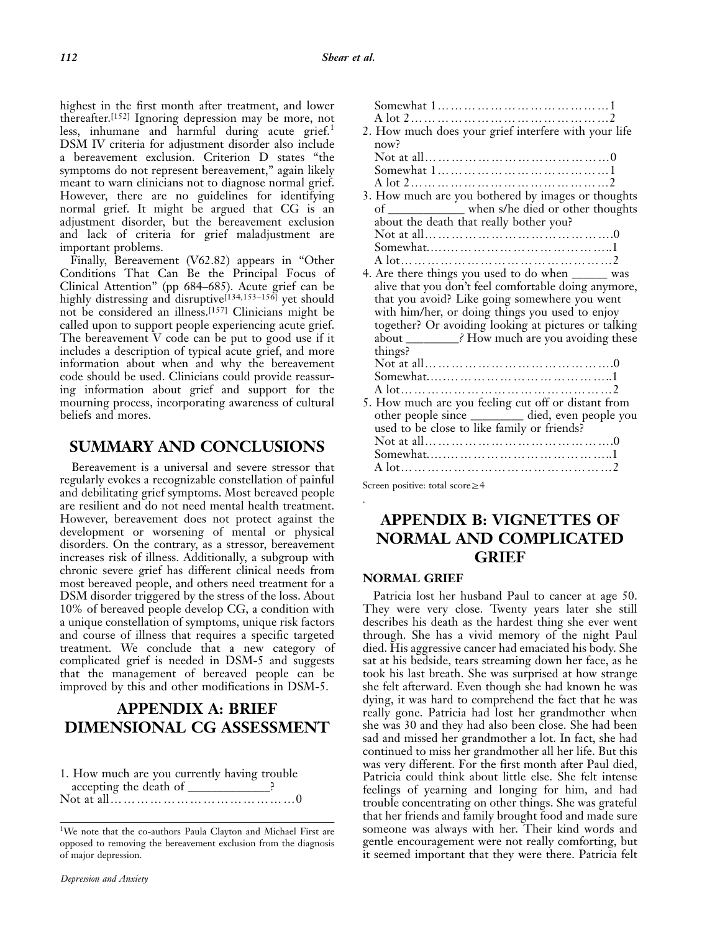highest in the first month after treatment, and lower thereafter.[152] Ignoring depression may be more, not less, inhumane and harmful during acute grief.<sup>1</sup> DSM IV criteria for adjustment disorder also include a bereavement exclusion. Criterion D states ''the symptoms do not represent bereavement," again likely meant to warn clinicians not to diagnose normal grief. However, there are no guidelines for identifying normal grief. It might be argued that CG is an adjustment disorder, but the bereavement exclusion and lack of criteria for grief maladjustment are important problems.

Finally, Bereavement (V62.82) appears in "Other Conditions That Can Be the Principal Focus of Clinical Attention'' (pp 684–685). Acute grief can be highly distressing and disruptive<sup>[134,153-156]</sup> yet should not be considered an illness.[157] Clinicians might be called upon to support people experiencing acute grief. The bereavement V code can be put to good use if it includes a description of typical acute grief, and more information about when and why the bereavement code should be used. Clinicians could provide reassuring information about grief and support for the mourning process, incorporating awareness of cultural beliefs and mores.

## SUMMARY AND CONCLUSIONS

Bereavement is a universal and severe stressor that regularly evokes a recognizable constellation of painful and debilitating grief symptoms. Most bereaved people are resilient and do not need mental health treatment. However, bereavement does not protect against the development or worsening of mental or physical disorders. On the contrary, as a stressor, bereavement increases risk of illness. Additionally, a subgroup with chronic severe grief has different clinical needs from most bereaved people, and others need treatment for a DSM disorder triggered by the stress of the loss. About 10% of bereaved people develop CG, a condition with a unique constellation of symptoms, unique risk factors and course of illness that requires a specific targeted treatment. We conclude that a new category of complicated grief is needed in DSM-5 and suggests that the management of bereaved people can be improved by this and other modifications in DSM-5.

## APPENDIX A: BRIEF DIMENSIONAL CG ASSESSMENT

| 1. How much are you currently having trouble |  |
|----------------------------------------------|--|
|                                              |  |
|                                              |  |

<sup>&</sup>lt;sup>1</sup>We note that the co-authors Paula Clayton and Michael First are opposed to removing the bereavement exclusion from the diagnosis of major depression.

| 2. How much does your grief interfere with your life<br>now?                                                                                                                                                                                                         |
|----------------------------------------------------------------------------------------------------------------------------------------------------------------------------------------------------------------------------------------------------------------------|
| 3. How much are you bothered by images or thoughts<br>of ____________ when s/he died or other thoughts                                                                                                                                                               |
| about the death that really bother you?<br>4. Are there things you used to do when ______ was                                                                                                                                                                        |
| alive that you don't feel comfortable doing anymore,<br>that you avoid? Like going somewhere you went<br>with him/her, or doing things you used to enjoy<br>together? Or avoiding looking at pictures or talking<br>about _________? How much are you avoiding these |
| things?<br>5. How much are you feeling cut off or distant from                                                                                                                                                                                                       |
| other people since __________ died, even people you<br>used to be close to like family or friends?                                                                                                                                                                   |

Screen positive: total  $score > 4$ 

.

## APPENDIX B: VIGNETTES OF NORMAL AND COMPLICATED GRIEF

#### NORMAL GRIEF

Patricia lost her husband Paul to cancer at age 50. They were very close. Twenty years later she still describes his death as the hardest thing she ever went through. She has a vivid memory of the night Paul died. His aggressive cancer had emaciated his body. She sat at his bedside, tears streaming down her face, as he took his last breath. She was surprised at how strange she felt afterward. Even though she had known he was dying, it was hard to comprehend the fact that he was really gone. Patricia had lost her grandmother when she was 30 and they had also been close. She had been sad and missed her grandmother a lot. In fact, she had continued to miss her grandmother all her life. But this was very different. For the first month after Paul died, Patricia could think about little else. She felt intense feelings of yearning and longing for him, and had trouble concentrating on other things. She was grateful that her friends and family brought food and made sure someone was always with her. Their kind words and gentle encouragement were not really comforting, but it seemed important that they were there. Patricia felt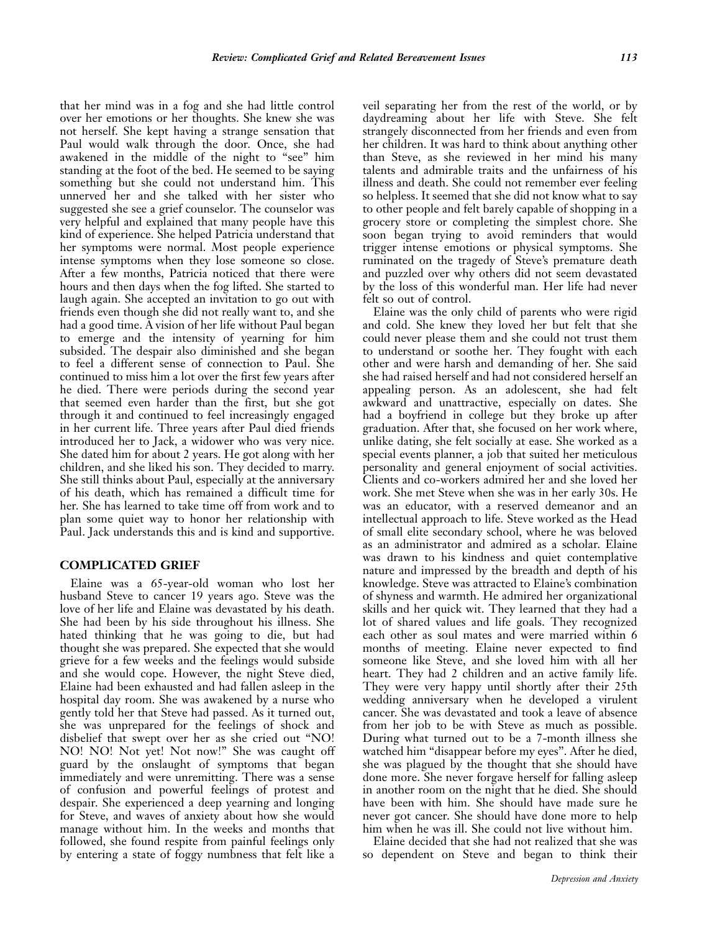that her mind was in a fog and she had little control over her emotions or her thoughts. She knew she was not herself. She kept having a strange sensation that Paul would walk through the door. Once, she had awakened in the middle of the night to ''see'' him standing at the foot of the bed. He seemed to be saying something but she could not understand him. This unnerved her and she talked with her sister who suggested she see a grief counselor. The counselor was very helpful and explained that many people have this kind of experience. She helped Patricia understand that her symptoms were normal. Most people experience intense symptoms when they lose someone so close. After a few months, Patricia noticed that there were hours and then days when the fog lifted. She started to laugh again. She accepted an invitation to go out with friends even though she did not really want to, and she had a good time. A vision of her life without Paul began to emerge and the intensity of yearning for him subsided. The despair also diminished and she began to feel a different sense of connection to Paul. She continued to miss him a lot over the first few years after he died. There were periods during the second year that seemed even harder than the first, but she got through it and continued to feel increasingly engaged in her current life. Three years after Paul died friends introduced her to Jack, a widower who was very nice. She dated him for about 2 years. He got along with her children, and she liked his son. They decided to marry. She still thinks about Paul, especially at the anniversary of his death, which has remained a difficult time for her. She has learned to take time off from work and to plan some quiet way to honor her relationship with Paul. Jack understands this and is kind and supportive.

## COMPLICATED GRIEF

Elaine was a 65-year-old woman who lost her husband Steve to cancer 19 years ago. Steve was the love of her life and Elaine was devastated by his death. She had been by his side throughout his illness. She hated thinking that he was going to die, but had thought she was prepared. She expected that she would grieve for a few weeks and the feelings would subside and she would cope. However, the night Steve died, Elaine had been exhausted and had fallen asleep in the hospital day room. She was awakened by a nurse who gently told her that Steve had passed. As it turned out, she was unprepared for the feelings of shock and disbelief that swept over her as she cried out ''NO! NO! NO! Not yet! Not now!'' She was caught off guard by the onslaught of symptoms that began immediately and were unremitting. There was a sense of confusion and powerful feelings of protest and despair. She experienced a deep yearning and longing for Steve, and waves of anxiety about how she would manage without him. In the weeks and months that followed, she found respite from painful feelings only by entering a state of foggy numbness that felt like a veil separating her from the rest of the world, or by daydreaming about her life with Steve. She felt strangely disconnected from her friends and even from her children. It was hard to think about anything other than Steve, as she reviewed in her mind his many talents and admirable traits and the unfairness of his illness and death. She could not remember ever feeling so helpless. It seemed that she did not know what to say to other people and felt barely capable of shopping in a grocery store or completing the simplest chore. She soon began trying to avoid reminders that would trigger intense emotions or physical symptoms. She ruminated on the tragedy of Steve's premature death and puzzled over why others did not seem devastated by the loss of this wonderful man. Her life had never felt so out of control.

Elaine was the only child of parents who were rigid and cold. She knew they loved her but felt that she could never please them and she could not trust them to understand or soothe her. They fought with each other and were harsh and demanding of her. She said she had raised herself and had not considered herself an appealing person. As an adolescent, she had felt awkward and unattractive, especially on dates. She had a boyfriend in college but they broke up after graduation. After that, she focused on her work where, unlike dating, she felt socially at ease. She worked as a special events planner, a job that suited her meticulous personality and general enjoyment of social activities. Clients and co-workers admired her and she loved her work. She met Steve when she was in her early 30s. He was an educator, with a reserved demeanor and an intellectual approach to life. Steve worked as the Head of small elite secondary school, where he was beloved as an administrator and admired as a scholar. Elaine was drawn to his kindness and quiet contemplative nature and impressed by the breadth and depth of his knowledge. Steve was attracted to Elaine's combination of shyness and warmth. He admired her organizational skills and her quick wit. They learned that they had a lot of shared values and life goals. They recognized each other as soul mates and were married within 6 months of meeting. Elaine never expected to find someone like Steve, and she loved him with all her heart. They had 2 children and an active family life. They were very happy until shortly after their 25th wedding anniversary when he developed a virulent cancer. She was devastated and took a leave of absence from her job to be with Steve as much as possible. During what turned out to be a 7-month illness she watched him "disappear before my eyes". After he died, she was plagued by the thought that she should have done more. She never forgave herself for falling asleep in another room on the night that he died. She should have been with him. She should have made sure he never got cancer. She should have done more to help him when he was ill. She could not live without him.

Elaine decided that she had not realized that she was so dependent on Steve and began to think their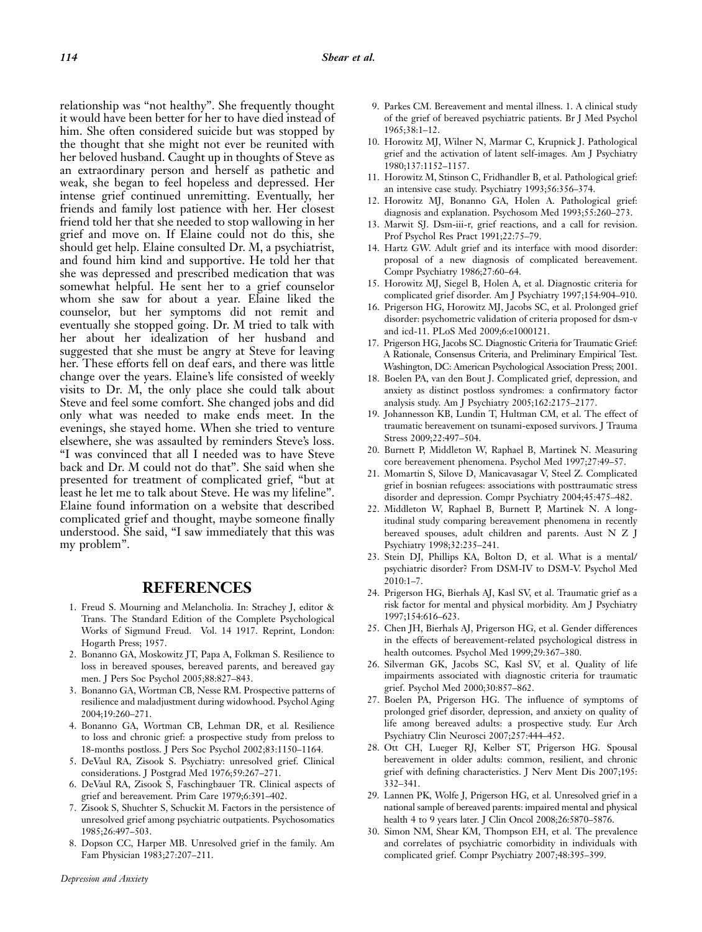relationship was ''not healthy''. She frequently thought it would have been better for her to have died instead of him. She often considered suicide but was stopped by the thought that she might not ever be reunited with her beloved husband. Caught up in thoughts of Steve as an extraordinary person and herself as pathetic and weak, she began to feel hopeless and depressed. Her intense grief continued unremitting. Eventually, her friends and family lost patience with her. Her closest friend told her that she needed to stop wallowing in her grief and move on. If Elaine could not do this, she should get help. Elaine consulted Dr. M, a psychiatrist, and found him kind and supportive. He told her that she was depressed and prescribed medication that was somewhat helpful. He sent her to a grief counselor whom she saw for about a year. Elaine liked the counselor, but her symptoms did not remit and eventually she stopped going. Dr. M tried to talk with her about her idealization of her husband and suggested that she must be angry at Steve for leaving her. These efforts fell on deaf ears, and there was little change over the years. Elaine's life consisted of weekly visits to Dr. M, the only place she could talk about Steve and feel some comfort. She changed jobs and did only what was needed to make ends meet. In the evenings, she stayed home. When she tried to venture elsewhere, she was assaulted by reminders Steve's loss. ''I was convinced that all I needed was to have Steve back and Dr. M could not do that''. She said when she presented for treatment of complicated grief, ''but at least he let me to talk about Steve. He was my lifeline''. Elaine found information on a website that described complicated grief and thought, maybe someone finally understood. She said, ''I saw immediately that this was my problem''.

## REFERENCES

- 1. Freud S. Mourning and Melancholia. In: Strachey J, editor & Trans. The Standard Edition of the Complete Psychological Works of Sigmund Freud. Vol. 14 1917. Reprint, London: Hogarth Press; 1957.
- 2. Bonanno GA, Moskowitz JT, Papa A, Folkman S. Resilience to loss in bereaved spouses, bereaved parents, and bereaved gay men. J Pers Soc Psychol 2005;88:827–843.
- 3. Bonanno GA, Wortman CB, Nesse RM. Prospective patterns of resilience and maladjustment during widowhood. Psychol Aging 2004;19:260–271.
- 4. Bonanno GA, Wortman CB, Lehman DR, et al. Resilience to loss and chronic grief: a prospective study from preloss to 18-months postloss. J Pers Soc Psychol 2002;83:1150–1164.
- 5. DeVaul RA, Zisook S. Psychiatry: unresolved grief. Clinical considerations. J Postgrad Med 1976;59:267–271.
- 6. DeVaul RA, Zisook S, Faschingbauer TR. Clinical aspects of grief and bereavement. Prim Care 1979;6:391–402.
- 7. Zisook S, Shuchter S, Schuckit M. Factors in the persistence of unresolved grief among psychiatric outpatients. Psychosomatics 1985;26:497–503.
- 8. Dopson CC, Harper MB. Unresolved grief in the family. Am Fam Physician 1983;27:207–211.
- 9. Parkes CM. Bereavement and mental illness. 1. A clinical study of the grief of bereaved psychiatric patients. Br J Med Psychol 1965;38:1–12.
- 10. Horowitz MJ, Wilner N, Marmar C, Krupnick J. Pathological grief and the activation of latent self-images. Am J Psychiatry 1980;137:1152–1157.
- 11. Horowitz M, Stinson C, Fridhandler B, et al. Pathological grief: an intensive case study. Psychiatry 1993;56:356–374.
- 12. Horowitz MJ, Bonanno GA, Holen A. Pathological grief: diagnosis and explanation. Psychosom Med 1993;55:260–273.
- 13. Marwit SJ. Dsm-iii-r, grief reactions, and a call for revision. Prof Psychol Res Pract 1991;22:75–79.
- 14. Hartz GW. Adult grief and its interface with mood disorder: proposal of a new diagnosis of complicated bereavement. Compr Psychiatry 1986;27:60–64.
- 15. Horowitz MJ, Siegel B, Holen A, et al. Diagnostic criteria for complicated grief disorder. Am J Psychiatry 1997;154:904–910.
- 16. Prigerson HG, Horowitz MJ, Jacobs SC, et al. Prolonged grief disorder: psychometric validation of criteria proposed for dsm-v and icd-11. PLoS Med 2009;6:e1000121.
- 17. Prigerson HG, Jacobs SC. Diagnostic Criteria for Traumatic Grief: A Rationale, Consensus Criteria, and Preliminary Empirical Test. Washington, DC: American Psychological Association Press; 2001.
- 18. Boelen PA, van den Bout J. Complicated grief, depression, and anxiety as distinct postloss syndromes: a confirmatory factor analysis study. Am J Psychiatry 2005;162:2175–2177.
- 19. Johannesson KB, Lundin T, Hultman CM, et al. The effect of traumatic bereavement on tsunami-exposed survivors. J Trauma Stress 2009;22:497–504.
- 20. Burnett P, Middleton W, Raphael B, Martinek N. Measuring core bereavement phenomena. Psychol Med 1997;27:49–57.
- 21. Momartin S, Silove D, Manicavasagar V, Steel Z. Complicated grief in bosnian refugees: associations with posttraumatic stress disorder and depression. Compr Psychiatry 2004;45:475–482.
- 22. Middleton W, Raphael B, Burnett P, Martinek N. A longitudinal study comparing bereavement phenomena in recently bereaved spouses, adult children and parents. Aust N Z J Psychiatry 1998;32:235–241.
- 23. Stein DJ, Phillips KA, Bolton D, et al. What is a mental/ psychiatric disorder? From DSM-IV to DSM-V. Psychol Med  $2010:1 - 7$ .
- 24. Prigerson HG, Bierhals AJ, Kasl SV, et al. Traumatic grief as a risk factor for mental and physical morbidity. Am J Psychiatry 1997;154:616–623.
- 25. Chen JH, Bierhals AJ, Prigerson HG, et al. Gender differences in the effects of bereavement-related psychological distress in health outcomes. Psychol Med 1999;29:367–380.
- 26. Silverman GK, Jacobs SC, Kasl SV, et al. Quality of life impairments associated with diagnostic criteria for traumatic grief. Psychol Med 2000;30:857–862.
- 27. Boelen PA, Prigerson HG. The influence of symptoms of prolonged grief disorder, depression, and anxiety on quality of life among bereaved adults: a prospective study. Eur Arch Psychiatry Clin Neurosci 2007;257:444–452.
- 28. Ott CH, Lueger RJ, Kelber ST, Prigerson HG. Spousal bereavement in older adults: common, resilient, and chronic grief with defining characteristics. J Nerv Ment Dis 2007;195: 332–341.
- 29. Lannen PK, Wolfe J, Prigerson HG, et al. Unresolved grief in a national sample of bereaved parents: impaired mental and physical health 4 to 9 years later. J Clin Oncol 2008;26:5870–5876.
- 30. Simon NM, Shear KM, Thompson EH, et al. The prevalence and correlates of psychiatric comorbidity in individuals with complicated grief. Compr Psychiatry 2007;48:395–399.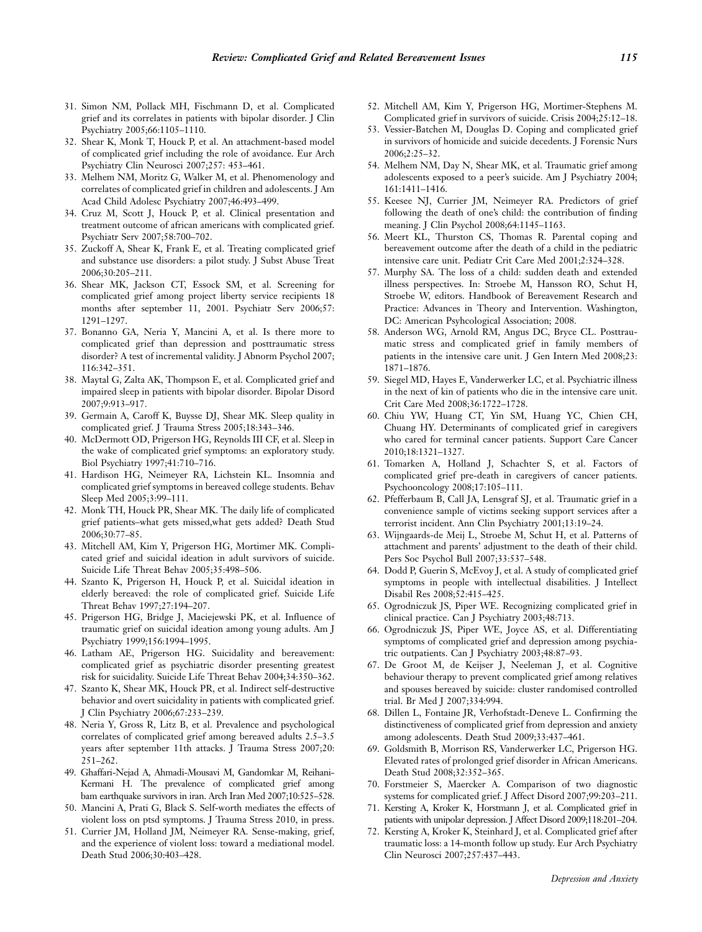- 31. Simon NM, Pollack MH, Fischmann D, et al. Complicated grief and its correlates in patients with bipolar disorder. J Clin Psychiatry 2005;66:1105–1110.
- 32. Shear K, Monk T, Houck P, et al. An attachment-based model of complicated grief including the role of avoidance. Eur Arch Psychiatry Clin Neurosci 2007;257: 453–461.
- 33. Melhem NM, Moritz G, Walker M, et al. Phenomenology and correlates of complicated grief in children and adolescents. J Am Acad Child Adolesc Psychiatry 2007;46:493–499.
- 34. Cruz M, Scott J, Houck P, et al. Clinical presentation and treatment outcome of african americans with complicated grief. Psychiatr Serv 2007;58:700–702.
- 35. Zuckoff A, Shear K, Frank E, et al. Treating complicated grief and substance use disorders: a pilot study. J Subst Abuse Treat 2006;30:205–211.
- 36. Shear MK, Jackson CT, Essock SM, et al. Screening for complicated grief among project liberty service recipients 18 months after september 11, 2001. Psychiatr Serv 2006;57: 1291–1297.
- 37. Bonanno GA, Neria Y, Mancini A, et al. Is there more to complicated grief than depression and posttraumatic stress disorder? A test of incremental validity. J Abnorm Psychol 2007; 116:342–351.
- 38. Maytal G, Zalta AK, Thompson E, et al. Complicated grief and impaired sleep in patients with bipolar disorder. Bipolar Disord 2007;9:913–917.
- 39. Germain A, Caroff K, Buysse DJ, Shear MK. Sleep quality in complicated grief. J Trauma Stress 2005;18:343–346.
- 40. McDermott OD, Prigerson HG, Reynolds III CF, et al. Sleep in the wake of complicated grief symptoms: an exploratory study. Biol Psychiatry 1997;41:710–716.
- 41. Hardison HG, Neimeyer RA, Lichstein KL. Insomnia and complicated grief symptoms in bereaved college students. Behav Sleep Med 2005;3:99–111.
- 42. Monk TH, Houck PR, Shear MK. The daily life of complicated grief patients–what gets missed,what gets added? Death Stud 2006;30:77–85.
- 43. Mitchell AM, Kim Y, Prigerson HG, Mortimer MK. Complicated grief and suicidal ideation in adult survivors of suicide. Suicide Life Threat Behav 2005;35:498–506.
- 44. Szanto K, Prigerson H, Houck P, et al. Suicidal ideation in elderly bereaved: the role of complicated grief. Suicide Life Threat Behav 1997;27:194–207.
- 45. Prigerson HG, Bridge J, Maciejewski PK, et al. Influence of traumatic grief on suicidal ideation among young adults. Am J Psychiatry 1999;156:1994–1995.
- 46. Latham AE, Prigerson HG. Suicidality and bereavement: complicated grief as psychiatric disorder presenting greatest risk for suicidality. Suicide Life Threat Behav 2004;34:350–362.
- 47. Szanto K, Shear MK, Houck PR, et al. Indirect self-destructive behavior and overt suicidality in patients with complicated grief. J Clin Psychiatry 2006;67:233–239.
- 48. Neria Y, Gross R, Litz B, et al. Prevalence and psychological correlates of complicated grief among bereaved adults 2.5–3.5 years after september 11th attacks. J Trauma Stress 2007;20: 251–262.
- 49. Ghaffari-Nejad A, Ahmadi-Mousavi M, Gandomkar M, Reihani-Kermani H. The prevalence of complicated grief among bam earthquake survivors in iran. Arch Iran Med 2007;10:525–528.
- 50. Mancini A, Prati G, Black S. Self-worth mediates the effects of violent loss on ptsd symptoms. J Trauma Stress 2010, in press.
- 51. Currier JM, Holland JM, Neimeyer RA. Sense-making, grief, and the experience of violent loss: toward a mediational model. Death Stud 2006;30:403–428.
- 52. Mitchell AM, Kim Y, Prigerson HG, Mortimer-Stephens M. Complicated grief in survivors of suicide. Crisis 2004;25:12–18.
- 53. Vessier-Batchen M, Douglas D. Coping and complicated grief in survivors of homicide and suicide decedents. J Forensic Nurs 2006;2:25–32.
- 54. Melhem NM, Day N, Shear MK, et al. Traumatic grief among adolescents exposed to a peer's suicide. Am J Psychiatry 2004; 161:1411–1416.
- 55. Keesee NJ, Currier JM, Neimeyer RA. Predictors of grief following the death of one's child: the contribution of finding meaning. J Clin Psychol 2008;64:1145–1163.
- 56. Meert KL, Thurston CS, Thomas R. Parental coping and bereavement outcome after the death of a child in the pediatric intensive care unit. Pediatr Crit Care Med 2001;2:324–328.
- 57. Murphy SA. The loss of a child: sudden death and extended illness perspectives. In: Stroebe M, Hansson RO, Schut H, Stroebe W, editors. Handbook of Bereavement Research and Practice: Advances in Theory and Intervention. Washington, DC: American Psyhcological Association; 2008.
- 58. Anderson WG, Arnold RM, Angus DC, Bryce CL. Posttraumatic stress and complicated grief in family members of patients in the intensive care unit. J Gen Intern Med 2008;23: 1871–1876.
- 59. Siegel MD, Hayes E, Vanderwerker LC, et al. Psychiatric illness in the next of kin of patients who die in the intensive care unit. Crit Care Med 2008;36:1722–1728.
- 60. Chiu YW, Huang CT, Yin SM, Huang YC, Chien CH, Chuang HY. Determinants of complicated grief in caregivers who cared for terminal cancer patients. Support Care Cancer 2010;18:1321–1327.
- 61. Tomarken A, Holland J, Schachter S, et al. Factors of complicated grief pre-death in caregivers of cancer patients. Psychooncology 2008;17:105–111.
- 62. Pfefferbaum B, Call JA, Lensgraf SJ, et al. Traumatic grief in a convenience sample of victims seeking support services after a terrorist incident. Ann Clin Psychiatry 2001;13:19–24.
- 63. Wijngaards-de Meij L, Stroebe M, Schut H, et al. Patterns of attachment and parents' adjustment to the death of their child. Pers Soc Psychol Bull 2007;33:537–548.
- 64. Dodd P, Guerin S, McEvoy J, et al. A study of complicated grief symptoms in people with intellectual disabilities. J Intellect Disabil Res 2008;52:415–425.
- 65. Ogrodniczuk JS, Piper WE. Recognizing complicated grief in clinical practice. Can J Psychiatry 2003;48:713.
- 66. Ogrodniczuk JS, Piper WE, Joyce AS, et al. Differentiating symptoms of complicated grief and depression among psychiatric outpatients. Can J Psychiatry 2003;48:87–93.
- 67. De Groot M, de Keijser J, Neeleman J, et al. Cognitive behaviour therapy to prevent complicated grief among relatives and spouses bereaved by suicide: cluster randomised controlled trial. Br Med J 2007;334:994.
- 68. Dillen L, Fontaine JR, Verhofstadt-Deneve L. Confirming the distinctiveness of complicated grief from depression and anxiety among adolescents. Death Stud 2009;33:437–461.
- 69. Goldsmith B, Morrison RS, Vanderwerker LC, Prigerson HG. Elevated rates of prolonged grief disorder in African Americans. Death Stud 2008;32:352–365.
- 70. Forstmeier S, Maercker A. Comparison of two diagnostic systems for complicated grief. J Affect Disord 2007;99:203–211.
- 71. Kersting A, Kroker K, Horstmann J, et al. Complicated grief in patients with unipolar depression. J Affect Disord 2009;118:201–204.
- 72. Kersting A, Kroker K, Steinhard J, et al. Complicated grief after traumatic loss: a 14-month follow up study. Eur Arch Psychiatry Clin Neurosci 2007;257:437–443.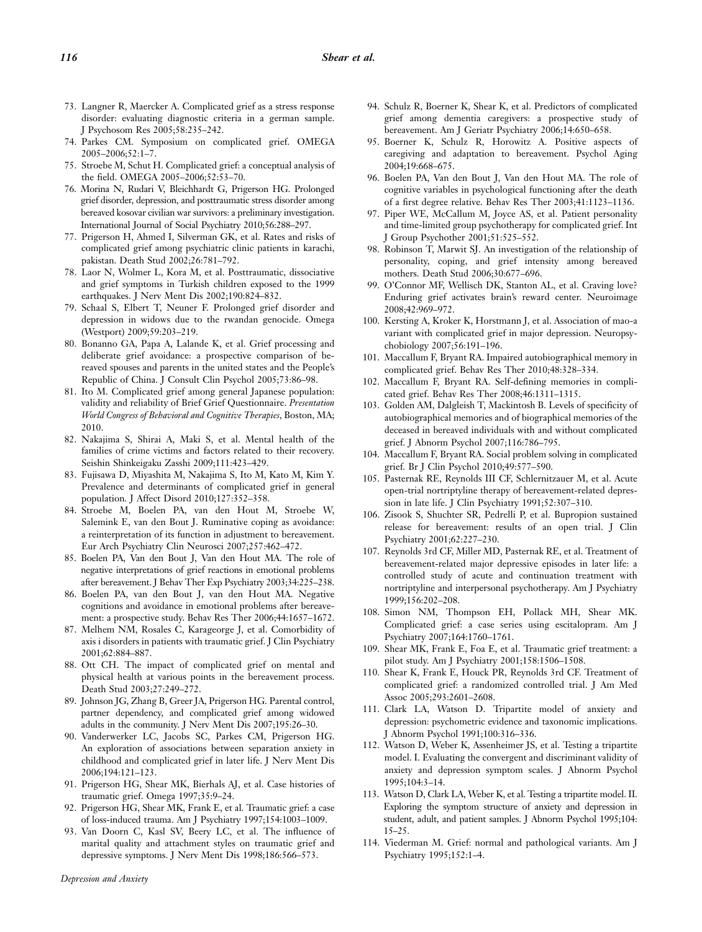- 73. Langner R, Maercker A. Complicated grief as a stress response disorder: evaluating diagnostic criteria in a german sample. J Psychosom Res 2005;58:235–242.
- 74. Parkes CM. Symposium on complicated grief. OMEGA 2005–2006;52:1–7.
- 75. Stroebe M, Schut H. Complicated grief: a conceptual analysis of the field. OMEGA 2005–2006;52:53–70.
- 76. Morina N, Rudari V, Bleichhardt G, Prigerson HG. Prolonged grief disorder, depression, and posttraumatic stress disorder among bereaved kosovar civilian war survivors: a preliminary investigation. International Journal of Social Psychiatry 2010;56:288–297.
- 77. Prigerson H, Ahmed I, Silverman GK, et al. Rates and risks of complicated grief among psychiatric clinic patients in karachi, pakistan. Death Stud 2002;26:781–792.
- 78. Laor N, Wolmer L, Kora M, et al. Posttraumatic, dissociative and grief symptoms in Turkish children exposed to the 1999 earthquakes. J Nerv Ment Dis 2002;190:824–832.
- 79. Schaal S, Elbert T, Neuner F. Prolonged grief disorder and depression in widows due to the rwandan genocide. Omega (Westport) 2009;59:203–219.
- 80. Bonanno GA, Papa A, Lalande K, et al. Grief processing and deliberate grief avoidance: a prospective comparison of bereaved spouses and parents in the united states and the People's Republic of China. J Consult Clin Psychol 2005;73:86–98.
- 81. Ito M. Complicated grief among general Japanese population: validity and reliability of Brief Grief Questionnaire. Presentation World Congress of Behavioral and Cognitive Therapies, Boston, MA; 2010.
- 82. Nakajima S, Shirai A, Maki S, et al. Mental health of the families of crime victims and factors related to their recovery. Seishin Shinkeigaku Zasshi 2009;111:423–429.
- 83. Fujisawa D, Miyashita M, Nakajima S, Ito M, Kato M, Kim Y. Prevalence and determinants of complicated grief in general population. J Affect Disord 2010;127:352–358.
- 84. Stroebe M, Boelen PA, van den Hout M, Stroebe W, Salemink E, van den Bout J. Ruminative coping as avoidance: a reinterpretation of its function in adjustment to bereavement. Eur Arch Psychiatry Clin Neurosci 2007;257:462–472.
- 85. Boelen PA, Van den Bout J, Van den Hout MA. The role of negative interpretations of grief reactions in emotional problems after bereavement. J Behav Ther Exp Psychiatry 2003;34:225–238.
- 86. Boelen PA, van den Bout J, van den Hout MA. Negative cognitions and avoidance in emotional problems after bereavement: a prospective study. Behav Res Ther 2006;44:1657–1672.
- 87. Melhem NM, Rosales C, Karageorge J, et al. Comorbidity of axis i disorders in patients with traumatic grief. J Clin Psychiatry 2001;62:884–887.
- 88. Ott CH. The impact of complicated grief on mental and physical health at various points in the bereavement process. Death Stud 2003;27:249–272.
- 89. Johnson JG, Zhang B, Greer JA, Prigerson HG. Parental control, partner dependency, and complicated grief among widowed adults in the community. J Nerv Ment Dis 2007;195:26–30.
- 90. Vanderwerker LC, Jacobs SC, Parkes CM, Prigerson HG. An exploration of associations between separation anxiety in childhood and complicated grief in later life. J Nerv Ment Dis 2006;194:121–123.
- 91. Prigerson HG, Shear MK, Bierhals AJ, et al. Case histories of traumatic grief. Omega 1997;35:9–24.
- 92. Prigerson HG, Shear MK, Frank E, et al. Traumatic grief: a case of loss-induced trauma. Am J Psychiatry 1997;154:1003–1009.
- 93. Van Doorn C, Kasl SV, Beery LC, et al. The influence of marital quality and attachment styles on traumatic grief and depressive symptoms. J Nerv Ment Dis 1998;186:566–573.
- 94. Schulz R, Boerner K, Shear K, et al. Predictors of complicated grief among dementia caregivers: a prospective study of bereavement. Am J Geriatr Psychiatry 2006;14:650–658.
- 95. Boerner K, Schulz R, Horowitz A. Positive aspects of caregiving and adaptation to bereavement. Psychol Aging 2004;19:668–675.
- 96. Boelen PA, Van den Bout J, Van den Hout MA. The role of cognitive variables in psychological functioning after the death of a first degree relative. Behav Res Ther 2003;41:1123–1136.
- 97. Piper WE, McCallum M, Joyce AS, et al. Patient personality and time-limited group psychotherapy for complicated grief. Int J Group Psychother 2001;51:525–552.
- 98. Robinson T, Marwit SJ. An investigation of the relationship of personality, coping, and grief intensity among bereaved mothers. Death Stud 2006;30:677–696.
- 99. O'Connor MF, Wellisch DK, Stanton AL, et al. Craving love? Enduring grief activates brain's reward center. Neuroimage 2008;42:969–972.
- 100. Kersting A, Kroker K, Horstmann J, et al. Association of mao-a variant with complicated grief in major depression. Neuropsychobiology 2007;56:191–196.
- 101. Maccallum F, Bryant RA. Impaired autobiographical memory in complicated grief. Behav Res Ther 2010;48:328–334.
- 102. Maccallum F, Bryant RA. Self-defining memories in complicated grief. Behav Res Ther 2008;46:1311–1315.
- 103. Golden AM, Dalgleish T, Mackintosh B. Levels of specificity of autobiographical memories and of biographical memories of the deceased in bereaved individuals with and without complicated grief. J Abnorm Psychol 2007;116:786–795.
- 104. Maccallum F, Bryant RA. Social problem solving in complicated grief. Br J Clin Psychol 2010;49:577–590.
- 105. Pasternak RE, Reynolds III CF, Schlernitzauer M, et al. Acute open-trial nortriptyline therapy of bereavement-related depression in late life. J Clin Psychiatry 1991;52:307–310.
- 106. Zisook S, Shuchter SR, Pedrelli P, et al. Bupropion sustained release for bereavement: results of an open trial. J Clin Psychiatry 2001;62:227–230.
- 107. Reynolds 3rd CF, Miller MD, Pasternak RE, et al. Treatment of bereavement-related major depressive episodes in later life: a controlled study of acute and continuation treatment with nortriptyline and interpersonal psychotherapy. Am J Psychiatry 1999;156:202–208.
- 108. Simon NM, Thompson EH, Pollack MH, Shear MK. Complicated grief: a case series using escitalopram. Am J Psychiatry 2007;164:1760–1761.
- 109. Shear MK, Frank E, Foa E, et al. Traumatic grief treatment: a pilot study. Am J Psychiatry 2001;158:1506–1508.
- 110. Shear K, Frank E, Houck PR, Reynolds 3rd CF. Treatment of complicated grief: a randomized controlled trial. J Am Med Assoc 2005;293:2601–2608.
- 111. Clark LA, Watson D. Tripartite model of anxiety and depression: psychometric evidence and taxonomic implications. J Abnorm Psychol 1991;100:316–336.
- 112. Watson D, Weber K, Assenheimer JS, et al. Testing a tripartite model. I. Evaluating the convergent and discriminant validity of anxiety and depression symptom scales. J Abnorm Psychol 1995;104:3–14.
- 113. Watson D, Clark LA, Weber K, et al. Testing a tripartite model. II. Exploring the symptom structure of anxiety and depression in student, adult, and patient samples. J Abnorm Psychol 1995;104: 15–25.
- 114. Viederman M. Grief: normal and pathological variants. Am J Psychiatry 1995;152:1–4.